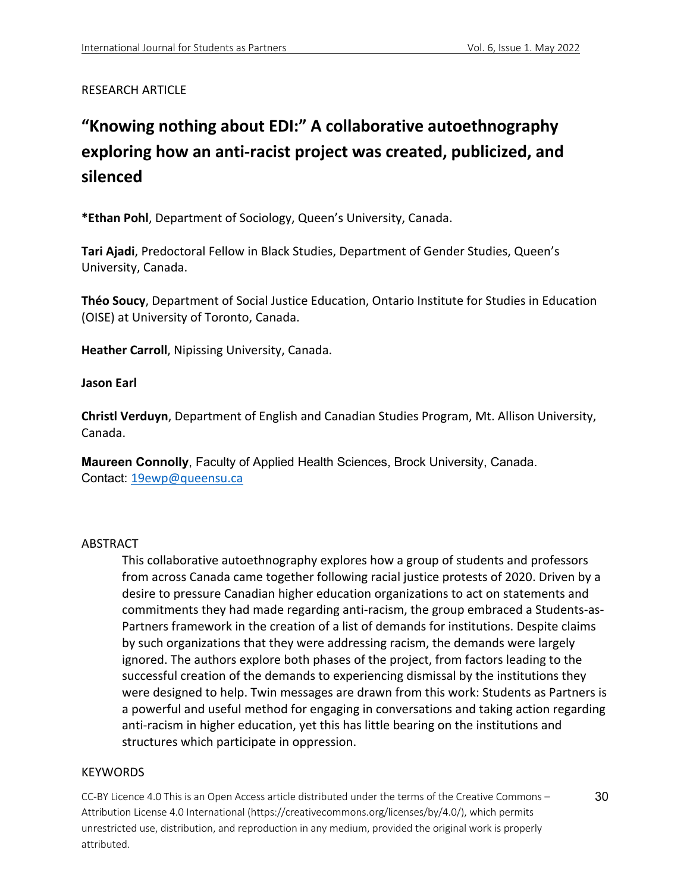# RESEARCH ARTICLE

# **"Knowing nothing about EDI:" A collaborative autoethnography exploring how an anti-racist project was created, publicized, and silenced**

**\*Ethan Pohl**, Department of Sociology, Queen's University, Canada.

**Tari Ajadi**, Predoctoral Fellow in Black Studies, Department of Gender Studies, Queen's University, Canada.

**Théo Soucy**, Department of Social Justice Education, Ontario Institute for Studies in Education (OISE) at University of Toronto, Canada.

**Heather Carroll**, Nipissing University, Canada.

## **Jason Earl**

**Christl Verduyn**, Department of English and Canadian Studies Program, Mt. Allison University, Canada.

**Maureen Connolly**, Faculty of Applied Health Sciences, Brock University, Canada. Contact: 19ewp@queensu.ca

# ABSTRACT

This collaborative autoethnography explores how a group of students and professors from across Canada came together following racial justice protests of 2020. Driven by a desire to pressure Canadian higher education organizations to act on statements and commitments they had made regarding anti-racism, the group embraced a Students-as-Partners framework in the creation of a list of demands for institutions. Despite claims by such organizations that they were addressing racism, the demands were largely ignored. The authors explore both phases of the project, from factors leading to the successful creation of the demands to experiencing dismissal by the institutions they were designed to help. Twin messages are drawn from this work: Students as Partners is a powerful and useful method for engaging in conversations and taking action regarding anti-racism in higher education, yet this has little bearing on the institutions and structures which participate in oppression.

## **KEYWORDS**

CC-BY Licence 4.0 This is an Open Access article distributed under the terms of the Creative Commons – Attribution License 4.0 International (https://creativecommons.org/licenses/by/4.0/), which permits unrestricted use, distribution, and reproduction in any medium, provided the original work is properly attributed.

30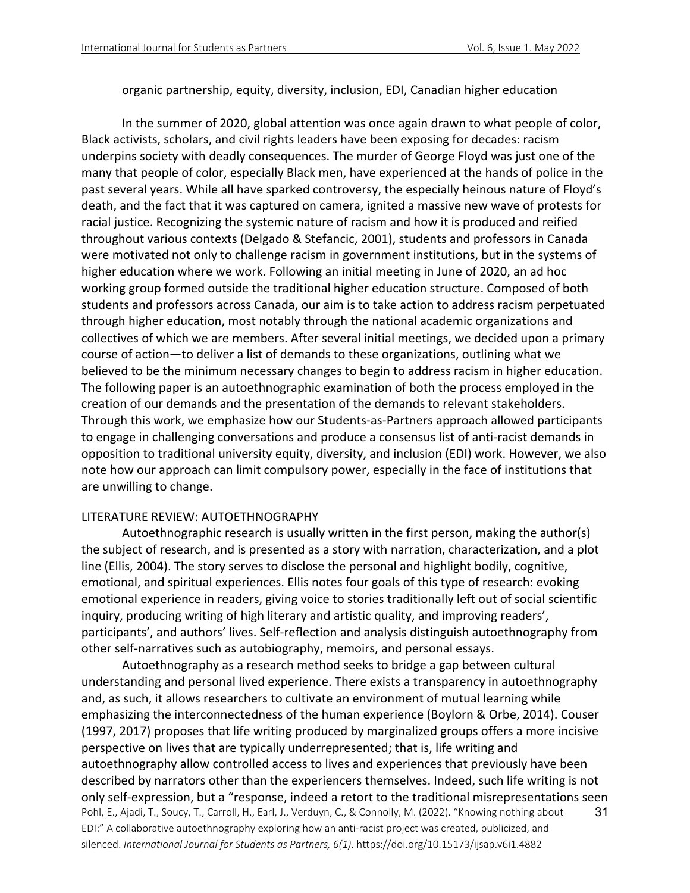organic partnership, equity, diversity, inclusion, EDI, Canadian higher education

In the summer of 2020, global attention was once again drawn to what people of color, Black activists, scholars, and civil rights leaders have been exposing for decades: racism underpins society with deadly consequences. The murder of George Floyd was just one of the many that people of color, especially Black men, have experienced at the hands of police in the past several years. While all have sparked controversy, the especially heinous nature of Floyd's death, and the fact that it was captured on camera, ignited a massive new wave of protests for racial justice. Recognizing the systemic nature of racism and how it is produced and reified throughout various contexts (Delgado & Stefancic, 2001), students and professors in Canada were motivated not only to challenge racism in government institutions, but in the systems of higher education where we work. Following an initial meeting in June of 2020, an ad hoc working group formed outside the traditional higher education structure. Composed of both students and professors across Canada, our aim is to take action to address racism perpetuated through higher education, most notably through the national academic organizations and collectives of which we are members. After several initial meetings, we decided upon a primary course of action—to deliver a list of demands to these organizations, outlining what we believed to be the minimum necessary changes to begin to address racism in higher education. The following paper is an autoethnographic examination of both the process employed in the creation of our demands and the presentation of the demands to relevant stakeholders. Through this work, we emphasize how our Students-as-Partners approach allowed participants to engage in challenging conversations and produce a consensus list of anti-racist demands in opposition to traditional university equity, diversity, and inclusion (EDI) work. However, we also note how our approach can limit compulsory power, especially in the face of institutions that are unwilling to change.

#### LITERATURE REVIEW: AUTOETHNOGRAPHY

Autoethnographic research is usually written in the first person, making the author(s) the subject of research, and is presented as a story with narration, characterization, and a plot line (Ellis, 2004). The story serves to disclose the personal and highlight bodily, cognitive, emotional, and spiritual experiences. Ellis notes four goals of this type of research: evoking emotional experience in readers, giving voice to stories traditionally left out of social scientific inquiry, producing writing of high literary and artistic quality, and improving readers', participants', and authors' lives. Self-reflection and analysis distinguish autoethnography from other self-narratives such as autobiography, memoirs, and personal essays.

Pohl, E., Ajadi, T., Soucy, T., Carroll, H., Earl, J., Verduyn, C., & Connolly, M. (2022). "Knowing nothing about EDI:" A collaborative autoethnography exploring how an anti-racist project was created, publicized, and silenced. *International Journal for Students as Partners, 6(1)*. https://doi.org/10.15173/ijsap.v6i1.4882 31 Autoethnography as a research method seeks to bridge a gap between cultural understanding and personal lived experience. There exists a transparency in autoethnography and, as such, it allows researchers to cultivate an environment of mutual learning while emphasizing the interconnectedness of the human experience (Boylorn & Orbe, 2014). Couser (1997, 2017) proposes that life writing produced by marginalized groups offers a more incisive perspective on lives that are typically underrepresented; that is, life writing and autoethnography allow controlled access to lives and experiences that previously have been described by narrators other than the experiencers themselves. Indeed, such life writing is not only self-expression, but a "response, indeed a retort to the traditional misrepresentations seen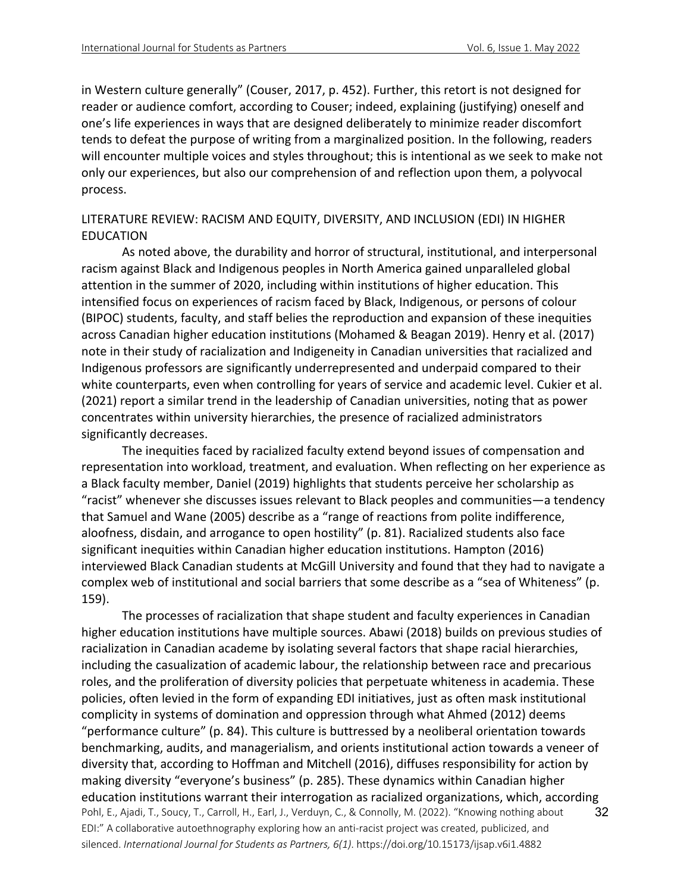in Western culture generally" (Couser, 2017, p. 452). Further, this retort is not designed for reader or audience comfort, according to Couser; indeed, explaining (justifying) oneself and one's life experiences in ways that are designed deliberately to minimize reader discomfort tends to defeat the purpose of writing from a marginalized position. In the following, readers will encounter multiple voices and styles throughout; this is intentional as we seek to make not only our experiences, but also our comprehension of and reflection upon them, a polyvocal process.

## LITERATURE REVIEW: RACISM AND EQUITY, DIVERSITY, AND INCLUSION (EDI) IN HIGHER EDUCATION

As noted above, the durability and horror of structural, institutional, and interpersonal racism against Black and Indigenous peoples in North America gained unparalleled global attention in the summer of 2020, including within institutions of higher education. This intensified focus on experiences of racism faced by Black, Indigenous, or persons of colour (BIPOC) students, faculty, and staff belies the reproduction and expansion of these inequities across Canadian higher education institutions (Mohamed & Beagan 2019). Henry et al. (2017) note in their study of racialization and Indigeneity in Canadian universities that racialized and Indigenous professors are significantly underrepresented and underpaid compared to their white counterparts, even when controlling for years of service and academic level. Cukier et al. (2021) report a similar trend in the leadership of Canadian universities, noting that as power concentrates within university hierarchies, the presence of racialized administrators significantly decreases.

The inequities faced by racialized faculty extend beyond issues of compensation and representation into workload, treatment, and evaluation. When reflecting on her experience as a Black faculty member, Daniel (2019) highlights that students perceive her scholarship as "racist" whenever she discusses issues relevant to Black peoples and communities—a tendency that Samuel and Wane (2005) describe as a "range of reactions from polite indifference, aloofness, disdain, and arrogance to open hostility" (p. 81). Racialized students also face significant inequities within Canadian higher education institutions. Hampton (2016) interviewed Black Canadian students at McGill University and found that they had to navigate a complex web of institutional and social barriers that some describe as a "sea of Whiteness" (p. 159).

Pohl, E., Ajadi, T., Soucy, T., Carroll, H., Earl, J., Verduyn, C., & Connolly, M. (2022). "Knowing nothing about EDI:" A collaborative autoethnography exploring how an anti-racist project was created, publicized, and silenced. *International Journal for Students as Partners, 6(1)*. https://doi.org/10.15173/ijsap.v6i1.4882 32 The processes of racialization that shape student and faculty experiences in Canadian higher education institutions have multiple sources. Abawi (2018) builds on previous studies of racialization in Canadian academe by isolating several factors that shape racial hierarchies, including the casualization of academic labour, the relationship between race and precarious roles, and the proliferation of diversity policies that perpetuate whiteness in academia. These policies, often levied in the form of expanding EDI initiatives, just as often mask institutional complicity in systems of domination and oppression through what Ahmed (2012) deems "performance culture" (p. 84). This culture is buttressed by a neoliberal orientation towards benchmarking, audits, and managerialism, and orients institutional action towards a veneer of diversity that, according to Hoffman and Mitchell (2016), diffuses responsibility for action by making diversity "everyone's business" (p. 285). These dynamics within Canadian higher education institutions warrant their interrogation as racialized organizations, which, according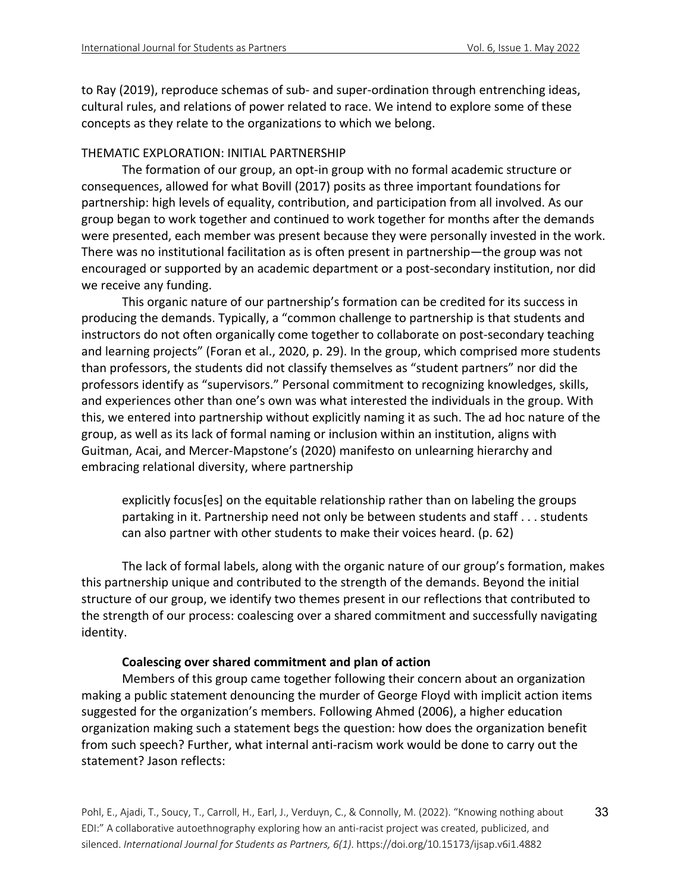to Ray (2019), reproduce schemas of sub- and super-ordination through entrenching ideas, cultural rules, and relations of power related to race. We intend to explore some of these concepts as they relate to the organizations to which we belong.

#### THEMATIC EXPLORATION: INITIAL PARTNERSHIP

The formation of our group, an opt-in group with no formal academic structure or consequences, allowed for what Bovill (2017) posits as three important foundations for partnership: high levels of equality, contribution, and participation from all involved. As our group began to work together and continued to work together for months after the demands were presented, each member was present because they were personally invested in the work. There was no institutional facilitation as is often present in partnership—the group was not encouraged or supported by an academic department or a post-secondary institution, nor did we receive any funding.

This organic nature of our partnership's formation can be credited for its success in producing the demands. Typically, a "common challenge to partnership is that students and instructors do not often organically come together to collaborate on post-secondary teaching and learning projects" (Foran et al., 2020, p. 29). In the group, which comprised more students than professors, the students did not classify themselves as "student partners" nor did the professors identify as "supervisors." Personal commitment to recognizing knowledges, skills, and experiences other than one's own was what interested the individuals in the group. With this, we entered into partnership without explicitly naming it as such. The ad hoc nature of the group, as well as its lack of formal naming or inclusion within an institution, aligns with Guitman, Acai, and Mercer-Mapstone's (2020) manifesto on unlearning hierarchy and embracing relational diversity, where partnership

explicitly focus[es] on the equitable relationship rather than on labeling the groups partaking in it. Partnership need not only be between students and staff . . . students can also partner with other students to make their voices heard. (p. 62)

The lack of formal labels, along with the organic nature of our group's formation, makes this partnership unique and contributed to the strength of the demands. Beyond the initial structure of our group, we identify two themes present in our reflections that contributed to the strength of our process: coalescing over a shared commitment and successfully navigating identity.

#### **Coalescing over shared commitment and plan of action**

Members of this group came together following their concern about an organization making a public statement denouncing the murder of George Floyd with implicit action items suggested for the organization's members. Following Ahmed (2006), a higher education organization making such a statement begs the question: how does the organization benefit from such speech? Further, what internal anti-racism work would be done to carry out the statement? Jason reflects: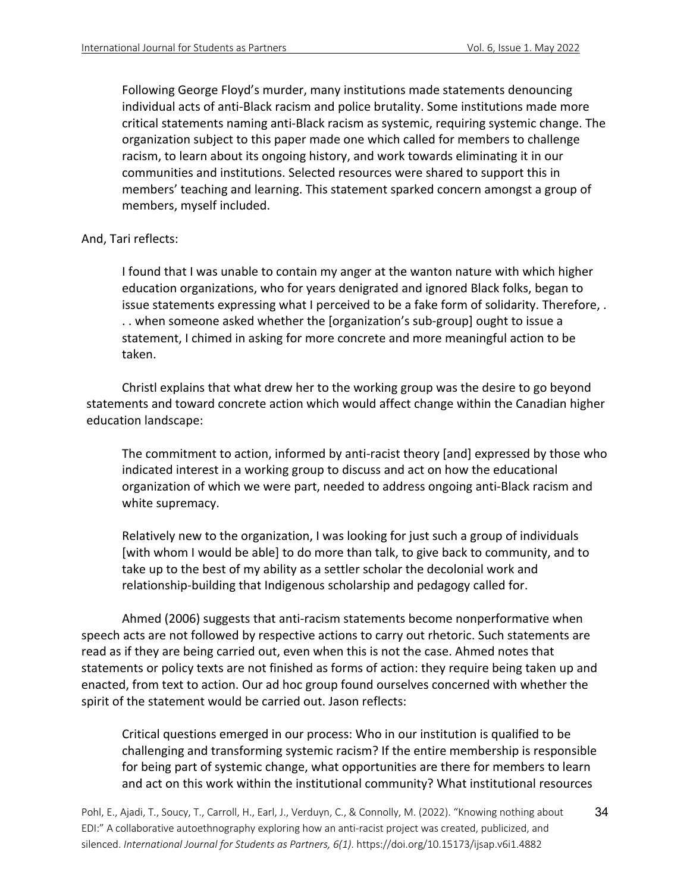Following George Floyd's murder, many institutions made statements denouncing individual acts of anti-Black racism and police brutality. Some institutions made more critical statements naming anti-Black racism as systemic, requiring systemic change. The organization subject to this paper made one which called for members to challenge racism, to learn about its ongoing history, and work towards eliminating it in our communities and institutions. Selected resources were shared to support this in members' teaching and learning. This statement sparked concern amongst a group of members, myself included.

## And, Tari reflects:

I found that I was unable to contain my anger at the wanton nature with which higher education organizations, who for years denigrated and ignored Black folks, began to issue statements expressing what I perceived to be a fake form of solidarity. Therefore, . . . when someone asked whether the [organization's sub-group] ought to issue a statement, I chimed in asking for more concrete and more meaningful action to be taken.

Christl explains that what drew her to the working group was the desire to go beyond statements and toward concrete action which would affect change within the Canadian higher education landscape:

The commitment to action, informed by anti-racist theory [and] expressed by those who indicated interest in a working group to discuss and act on how the educational organization of which we were part, needed to address ongoing anti-Black racism and white supremacy.

Relatively new to the organization, I was looking for just such a group of individuals [with whom I would be able] to do more than talk, to give back to community, and to take up to the best of my ability as a settler scholar the decolonial work and relationship-building that Indigenous scholarship and pedagogy called for.

Ahmed (2006) suggests that anti-racism statements become nonperformative when speech acts are not followed by respective actions to carry out rhetoric. Such statements are read as if they are being carried out, even when this is not the case. Ahmed notes that statements or policy texts are not finished as forms of action: they require being taken up and enacted, from text to action. Our ad hoc group found ourselves concerned with whether the spirit of the statement would be carried out. Jason reflects:

Critical questions emerged in our process: Who in our institution is qualified to be challenging and transforming systemic racism? If the entire membership is responsible for being part of systemic change, what opportunities are there for members to learn and act on this work within the institutional community? What institutional resources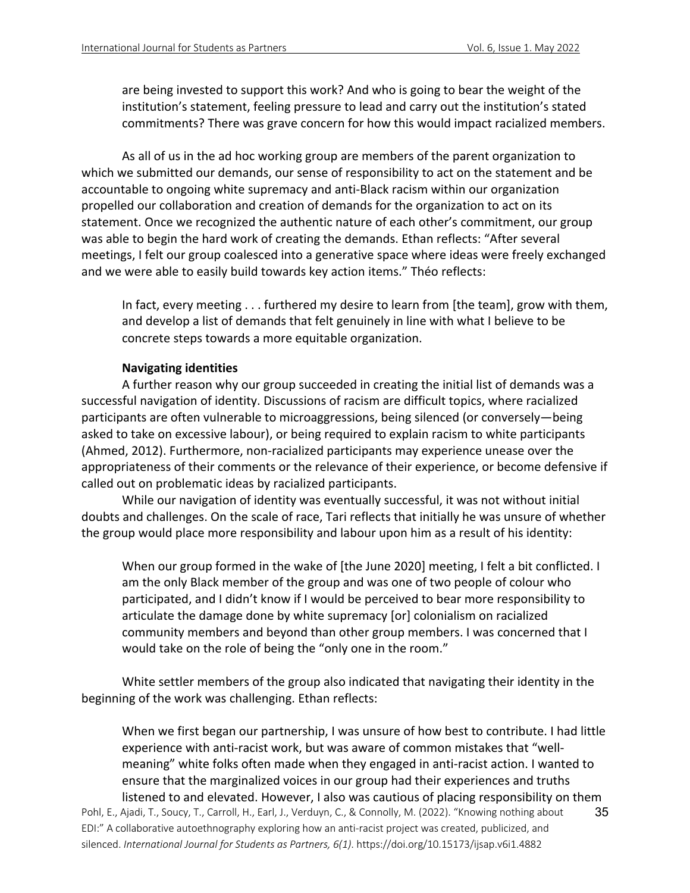are being invested to support this work? And who is going to bear the weight of the institution's statement, feeling pressure to lead and carry out the institution's stated commitments? There was grave concern for how this would impact racialized members.

As all of us in the ad hoc working group are members of the parent organization to which we submitted our demands, our sense of responsibility to act on the statement and be accountable to ongoing white supremacy and anti-Black racism within our organization propelled our collaboration and creation of demands for the organization to act on its statement. Once we recognized the authentic nature of each other's commitment, our group was able to begin the hard work of creating the demands. Ethan reflects: "After several meetings, I felt our group coalesced into a generative space where ideas were freely exchanged and we were able to easily build towards key action items." Théo reflects:

In fact, every meeting . . . furthered my desire to learn from [the team], grow with them, and develop a list of demands that felt genuinely in line with what I believe to be concrete steps towards a more equitable organization.

## **Navigating identities**

A further reason why our group succeeded in creating the initial list of demands was a successful navigation of identity. Discussions of racism are difficult topics, where racialized participants are often vulnerable to microaggressions, being silenced (or conversely—being asked to take on excessive labour), or being required to explain racism to white participants (Ahmed, 2012). Furthermore, non-racialized participants may experience unease over the appropriateness of their comments or the relevance of their experience, or become defensive if called out on problematic ideas by racialized participants.

While our navigation of identity was eventually successful, it was not without initial doubts and challenges. On the scale of race, Tari reflects that initially he was unsure of whether the group would place more responsibility and labour upon him as a result of his identity:

When our group formed in the wake of [the June 2020] meeting, I felt a bit conflicted. I am the only Black member of the group and was one of two people of colour who participated, and I didn't know if I would be perceived to bear more responsibility to articulate the damage done by white supremacy [or] colonialism on racialized community members and beyond than other group members. I was concerned that I would take on the role of being the "only one in the room."

White settler members of the group also indicated that navigating their identity in the beginning of the work was challenging. Ethan reflects:

35 When we first began our partnership, I was unsure of how best to contribute. I had little experience with anti-racist work, but was aware of common mistakes that "wellmeaning" white folks often made when they engaged in anti-racist action. I wanted to ensure that the marginalized voices in our group had their experiences and truths listened to and elevated. However, I also was cautious of placing responsibility on them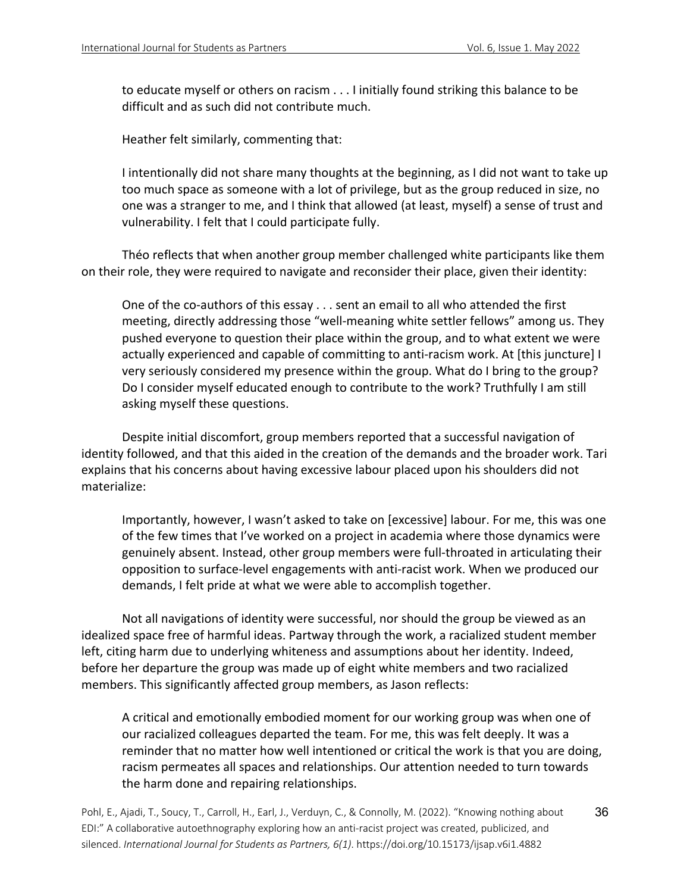to educate myself or others on racism . . . I initially found striking this balance to be difficult and as such did not contribute much.

Heather felt similarly, commenting that:

I intentionally did not share many thoughts at the beginning, as I did not want to take up too much space as someone with a lot of privilege, but as the group reduced in size, no one was a stranger to me, and I think that allowed (at least, myself) a sense of trust and vulnerability. I felt that I could participate fully.

Théo reflects that when another group member challenged white participants like them on their role, they were required to navigate and reconsider their place, given their identity:

One of the co-authors of this essay . . . sent an email to all who attended the first meeting, directly addressing those "well-meaning white settler fellows" among us. They pushed everyone to question their place within the group, and to what extent we were actually experienced and capable of committing to anti-racism work. At [this juncture] I very seriously considered my presence within the group. What do I bring to the group? Do I consider myself educated enough to contribute to the work? Truthfully I am still asking myself these questions.

Despite initial discomfort, group members reported that a successful navigation of identity followed, and that this aided in the creation of the demands and the broader work. Tari explains that his concerns about having excessive labour placed upon his shoulders did not materialize:

Importantly, however, I wasn't asked to take on [excessive] labour. For me, this was one of the few times that I've worked on a project in academia where those dynamics were genuinely absent. Instead, other group members were full-throated in articulating their opposition to surface-level engagements with anti-racist work. When we produced our demands, I felt pride at what we were able to accomplish together.

Not all navigations of identity were successful, nor should the group be viewed as an idealized space free of harmful ideas. Partway through the work, a racialized student member left, citing harm due to underlying whiteness and assumptions about her identity. Indeed, before her departure the group was made up of eight white members and two racialized members. This significantly affected group members, as Jason reflects:

A critical and emotionally embodied moment for our working group was when one of our racialized colleagues departed the team. For me, this was felt deeply. It was a reminder that no matter how well intentioned or critical the work is that you are doing, racism permeates all spaces and relationships. Our attention needed to turn towards the harm done and repairing relationships.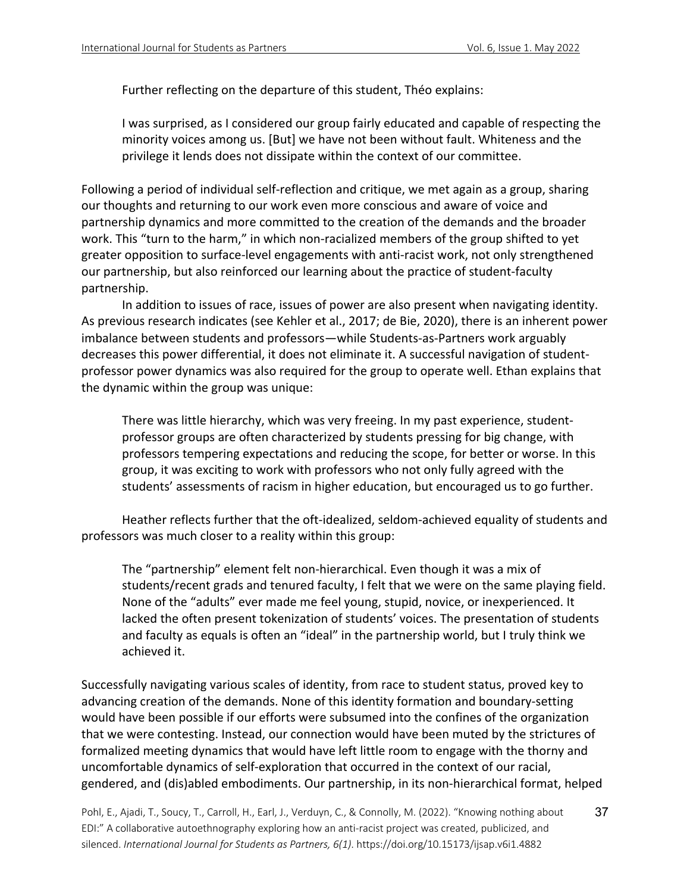Further reflecting on the departure of this student, Théo explains:

I was surprised, as I considered our group fairly educated and capable of respecting the minority voices among us. [But] we have not been without fault. Whiteness and the privilege it lends does not dissipate within the context of our committee.

Following a period of individual self-reflection and critique, we met again as a group, sharing our thoughts and returning to our work even more conscious and aware of voice and partnership dynamics and more committed to the creation of the demands and the broader work. This "turn to the harm," in which non-racialized members of the group shifted to yet greater opposition to surface-level engagements with anti-racist work, not only strengthened our partnership, but also reinforced our learning about the practice of student-faculty partnership.

In addition to issues of race, issues of power are also present when navigating identity. As previous research indicates (see Kehler et al., 2017; de Bie, 2020), there is an inherent power imbalance between students and professors—while Students-as-Partners work arguably decreases this power differential, it does not eliminate it. A successful navigation of studentprofessor power dynamics was also required for the group to operate well. Ethan explains that the dynamic within the group was unique:

There was little hierarchy, which was very freeing. In my past experience, studentprofessor groups are often characterized by students pressing for big change, with professors tempering expectations and reducing the scope, for better or worse. In this group, it was exciting to work with professors who not only fully agreed with the students' assessments of racism in higher education, but encouraged us to go further.

Heather reflects further that the oft-idealized, seldom-achieved equality of students and professors was much closer to a reality within this group:

The "partnership" element felt non-hierarchical. Even though it was a mix of students/recent grads and tenured faculty, I felt that we were on the same playing field. None of the "adults" ever made me feel young, stupid, novice, or inexperienced. It lacked the often present tokenization of students' voices. The presentation of students and faculty as equals is often an "ideal" in the partnership world, but I truly think we achieved it.

Successfully navigating various scales of identity, from race to student status, proved key to advancing creation of the demands. None of this identity formation and boundary-setting would have been possible if our efforts were subsumed into the confines of the organization that we were contesting. Instead, our connection would have been muted by the strictures of formalized meeting dynamics that would have left little room to engage with the thorny and uncomfortable dynamics of self-exploration that occurred in the context of our racial, gendered, and (dis)abled embodiments. Our partnership, in its non-hierarchical format, helped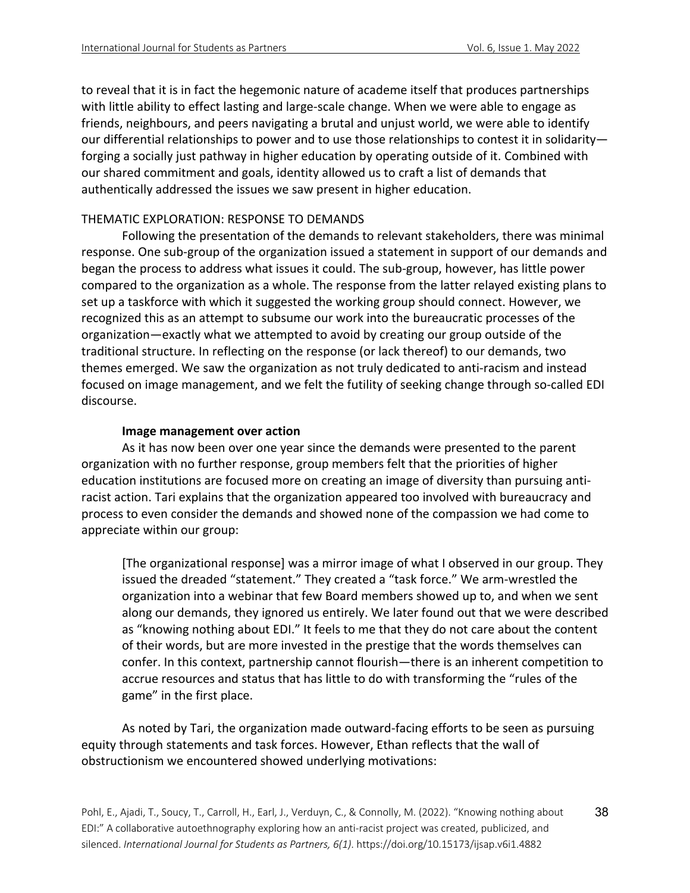to reveal that it is in fact the hegemonic nature of academe itself that produces partnerships with little ability to effect lasting and large-scale change. When we were able to engage as friends, neighbours, and peers navigating a brutal and unjust world, we were able to identify our differential relationships to power and to use those relationships to contest it in solidarity forging a socially just pathway in higher education by operating outside of it. Combined with our shared commitment and goals, identity allowed us to craft a list of demands that authentically addressed the issues we saw present in higher education.

# THEMATIC EXPLORATION: RESPONSE TO DEMANDS

Following the presentation of the demands to relevant stakeholders, there was minimal response. One sub-group of the organization issued a statement in support of our demands and began the process to address what issues it could. The sub-group, however, has little power compared to the organization as a whole. The response from the latter relayed existing plans to set up a taskforce with which it suggested the working group should connect. However, we recognized this as an attempt to subsume our work into the bureaucratic processes of the organization—exactly what we attempted to avoid by creating our group outside of the traditional structure. In reflecting on the response (or lack thereof) to our demands, two themes emerged. We saw the organization as not truly dedicated to anti-racism and instead focused on image management, and we felt the futility of seeking change through so-called EDI discourse.

## **Image management over action**

As it has now been over one year since the demands were presented to the parent organization with no further response, group members felt that the priorities of higher education institutions are focused more on creating an image of diversity than pursuing antiracist action. Tari explains that the organization appeared too involved with bureaucracy and process to even consider the demands and showed none of the compassion we had come to appreciate within our group:

[The organizational response] was a mirror image of what I observed in our group. They issued the dreaded "statement." They created a "task force." We arm-wrestled the organization into a webinar that few Board members showed up to, and when we sent along our demands, they ignored us entirely. We later found out that we were described as "knowing nothing about EDI." It feels to me that they do not care about the content of their words, but are more invested in the prestige that the words themselves can confer. In this context, partnership cannot flourish—there is an inherent competition to accrue resources and status that has little to do with transforming the "rules of the game" in the first place.

As noted by Tari, the organization made outward-facing efforts to be seen as pursuing equity through statements and task forces. However, Ethan reflects that the wall of obstructionism we encountered showed underlying motivations: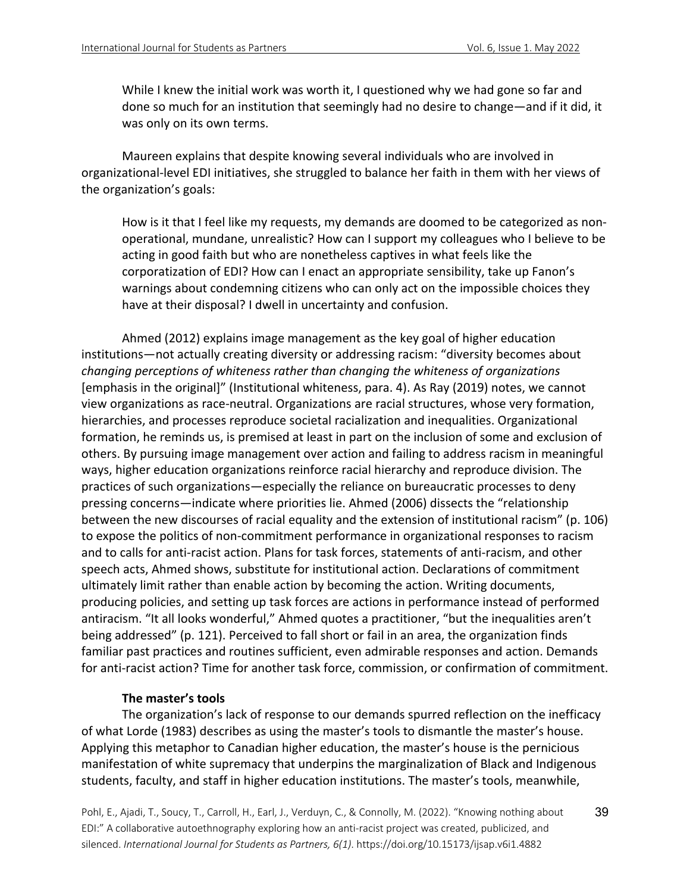While I knew the initial work was worth it, I questioned why we had gone so far and done so much for an institution that seemingly had no desire to change—and if it did, it was only on its own terms.

Maureen explains that despite knowing several individuals who are involved in organizational-level EDI initiatives, she struggled to balance her faith in them with her views of the organization's goals:

How is it that I feel like my requests, my demands are doomed to be categorized as nonoperational, mundane, unrealistic? How can I support my colleagues who I believe to be acting in good faith but who are nonetheless captives in what feels like the corporatization of EDI? How can I enact an appropriate sensibility, take up Fanon's warnings about condemning citizens who can only act on the impossible choices they have at their disposal? I dwell in uncertainty and confusion.

Ahmed (2012) explains image management as the key goal of higher education institutions—not actually creating diversity or addressing racism: "diversity becomes about *changing perceptions of whiteness rather than changing the whiteness of organizations* [emphasis in the original]" (Institutional whiteness, para. 4). As Ray (2019) notes, we cannot view organizations as race-neutral. Organizations are racial structures, whose very formation, hierarchies, and processes reproduce societal racialization and inequalities. Organizational formation, he reminds us, is premised at least in part on the inclusion of some and exclusion of others. By pursuing image management over action and failing to address racism in meaningful ways, higher education organizations reinforce racial hierarchy and reproduce division. The practices of such organizations—especially the reliance on bureaucratic processes to deny pressing concerns—indicate where priorities lie. Ahmed (2006) dissects the "relationship between the new discourses of racial equality and the extension of institutional racism" (p. 106) to expose the politics of non-commitment performance in organizational responses to racism and to calls for anti-racist action. Plans for task forces, statements of anti-racism, and other speech acts, Ahmed shows, substitute for institutional action. Declarations of commitment ultimately limit rather than enable action by becoming the action. Writing documents, producing policies, and setting up task forces are actions in performance instead of performed antiracism. "It all looks wonderful," Ahmed quotes a practitioner, "but the inequalities aren't being addressed" (p. 121). Perceived to fall short or fail in an area, the organization finds familiar past practices and routines sufficient, even admirable responses and action. Demands for anti-racist action? Time for another task force, commission, or confirmation of commitment.

#### **The master's tools**

The organization's lack of response to our demands spurred reflection on the inefficacy of what Lorde (1983) describes as using the master's tools to dismantle the master's house. Applying this metaphor to Canadian higher education, the master's house is the pernicious manifestation of white supremacy that underpins the marginalization of Black and Indigenous students, faculty, and staff in higher education institutions. The master's tools, meanwhile,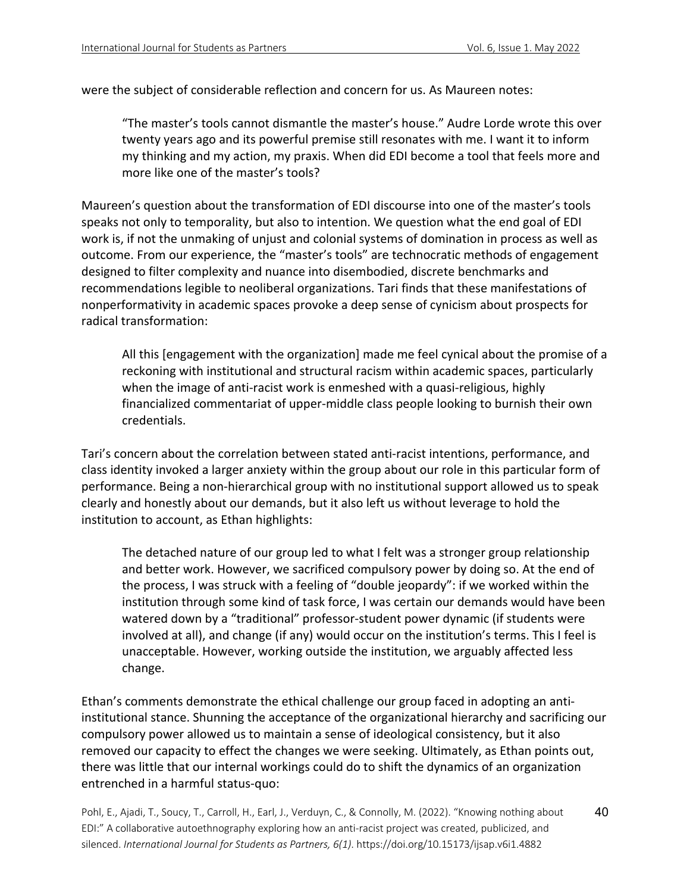were the subject of considerable reflection and concern for us. As Maureen notes:

"The master's tools cannot dismantle the master's house." Audre Lorde wrote this over twenty years ago and its powerful premise still resonates with me. I want it to inform my thinking and my action, my praxis. When did EDI become a tool that feels more and more like one of the master's tools?

Maureen's question about the transformation of EDI discourse into one of the master's tools speaks not only to temporality, but also to intention. We question what the end goal of EDI work is, if not the unmaking of unjust and colonial systems of domination in process as well as outcome. From our experience, the "master's tools" are technocratic methods of engagement designed to filter complexity and nuance into disembodied, discrete benchmarks and recommendations legible to neoliberal organizations. Tari finds that these manifestations of nonperformativity in academic spaces provoke a deep sense of cynicism about prospects for radical transformation:

All this [engagement with the organization] made me feel cynical about the promise of a reckoning with institutional and structural racism within academic spaces, particularly when the image of anti-racist work is enmeshed with a quasi-religious, highly financialized commentariat of upper-middle class people looking to burnish their own credentials.

Tari's concern about the correlation between stated anti-racist intentions, performance, and class identity invoked a larger anxiety within the group about our role in this particular form of performance. Being a non-hierarchical group with no institutional support allowed us to speak clearly and honestly about our demands, but it also left us without leverage to hold the institution to account, as Ethan highlights:

The detached nature of our group led to what I felt was a stronger group relationship and better work. However, we sacrificed compulsory power by doing so. At the end of the process, I was struck with a feeling of "double jeopardy": if we worked within the institution through some kind of task force, I was certain our demands would have been watered down by a "traditional" professor-student power dynamic (if students were involved at all), and change (if any) would occur on the institution's terms. This I feel is unacceptable. However, working outside the institution, we arguably affected less change.

Ethan's comments demonstrate the ethical challenge our group faced in adopting an antiinstitutional stance. Shunning the acceptance of the organizational hierarchy and sacrificing our compulsory power allowed us to maintain a sense of ideological consistency, but it also removed our capacity to effect the changes we were seeking. Ultimately, as Ethan points out, there was little that our internal workings could do to shift the dynamics of an organization entrenched in a harmful status-quo: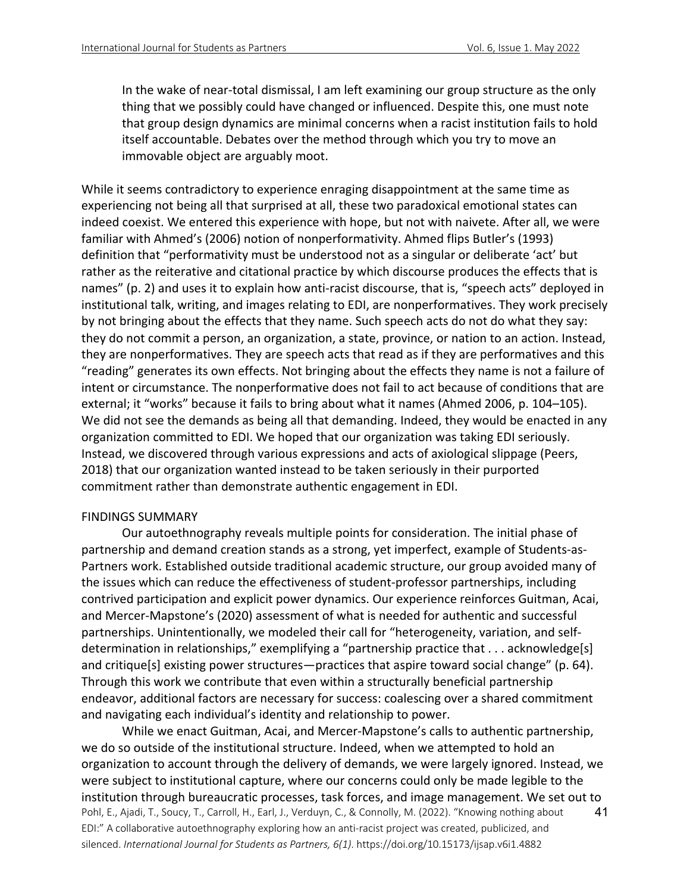In the wake of near-total dismissal, I am left examining our group structure as the only thing that we possibly could have changed or influenced. Despite this, one must note that group design dynamics are minimal concerns when a racist institution fails to hold itself accountable. Debates over the method through which you try to move an immovable object are arguably moot.

While it seems contradictory to experience enraging disappointment at the same time as experiencing not being all that surprised at all, these two paradoxical emotional states can indeed coexist. We entered this experience with hope, but not with naivete. After all, we were familiar with Ahmed's (2006) notion of nonperformativity. Ahmed flips Butler's (1993) definition that "performativity must be understood not as a singular or deliberate 'act' but rather as the reiterative and citational practice by which discourse produces the effects that is names" (p. 2) and uses it to explain how anti-racist discourse, that is, "speech acts" deployed in institutional talk, writing, and images relating to EDI, are nonperformatives. They work precisely by not bringing about the effects that they name. Such speech acts do not do what they say: they do not commit a person, an organization, a state, province, or nation to an action. Instead, they are nonperformatives. They are speech acts that read as if they are performatives and this "reading" generates its own effects. Not bringing about the effects they name is not a failure of intent or circumstance. The nonperformative does not fail to act because of conditions that are external; it "works" because it fails to bring about what it names (Ahmed 2006, p. 104–105). We did not see the demands as being all that demanding. Indeed, they would be enacted in any organization committed to EDI. We hoped that our organization was taking EDI seriously. Instead, we discovered through various expressions and acts of axiological slippage (Peers, 2018) that our organization wanted instead to be taken seriously in their purported commitment rather than demonstrate authentic engagement in EDI.

#### FINDINGS SUMMARY

Our autoethnography reveals multiple points for consideration. The initial phase of partnership and demand creation stands as a strong, yet imperfect, example of Students-as-Partners work. Established outside traditional academic structure, our group avoided many of the issues which can reduce the effectiveness of student-professor partnerships, including contrived participation and explicit power dynamics. Our experience reinforces Guitman, Acai, and Mercer-Mapstone's (2020) assessment of what is needed for authentic and successful partnerships. Unintentionally, we modeled their call for "heterogeneity, variation, and selfdetermination in relationships," exemplifying a "partnership practice that . . . acknowledge[s] and critique[s] existing power structures—practices that aspire toward social change" (p. 64). Through this work we contribute that even within a structurally beneficial partnership endeavor, additional factors are necessary for success: coalescing over a shared commitment and navigating each individual's identity and relationship to power.

Pohl, E., Ajadi, T., Soucy, T., Carroll, H., Earl, J., Verduyn, C., & Connolly, M. (2022). "Knowing nothing about EDI:" A collaborative autoethnography exploring how an anti-racist project was created, publicized, and silenced. *International Journal for Students as Partners, 6(1)*. https://doi.org/10.15173/ijsap.v6i1.4882 41 While we enact Guitman, Acai, and Mercer-Mapstone's calls to authentic partnership, we do so outside of the institutional structure. Indeed, when we attempted to hold an organization to account through the delivery of demands, we were largely ignored. Instead, we were subject to institutional capture, where our concerns could only be made legible to the institution through bureaucratic processes, task forces, and image management. We set out to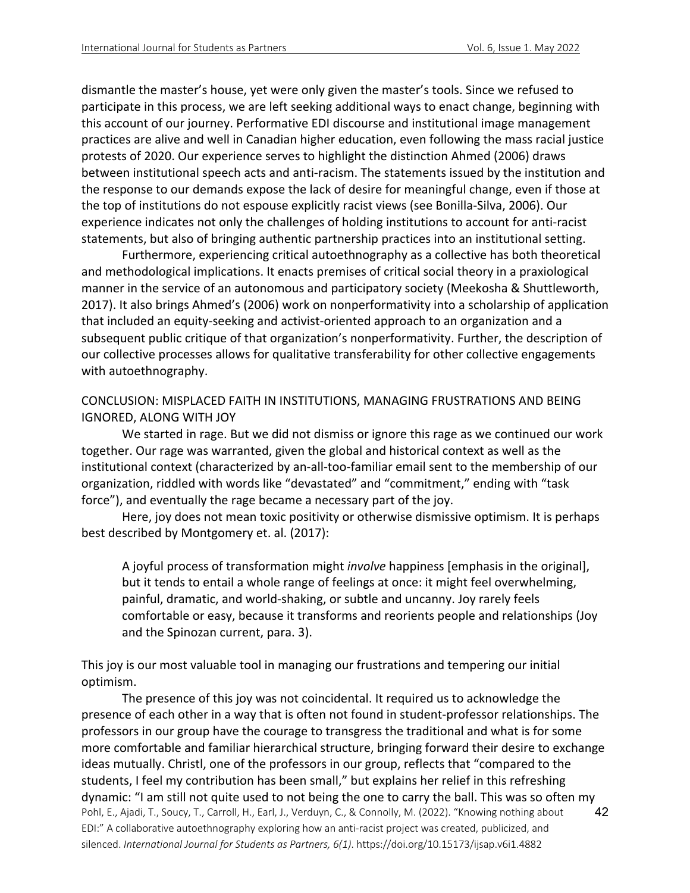dismantle the master's house, yet were only given the master's tools. Since we refused to participate in this process, we are left seeking additional ways to enact change, beginning with this account of our journey. Performative EDI discourse and institutional image management practices are alive and well in Canadian higher education, even following the mass racial justice protests of 2020. Our experience serves to highlight the distinction Ahmed (2006) draws between institutional speech acts and anti-racism. The statements issued by the institution and the response to our demands expose the lack of desire for meaningful change, even if those at the top of institutions do not espouse explicitly racist views (see Bonilla-Silva, 2006). Our experience indicates not only the challenges of holding institutions to account for anti-racist statements, but also of bringing authentic partnership practices into an institutional setting.

Furthermore, experiencing critical autoethnography as a collective has both theoretical and methodological implications. It enacts premises of critical social theory in a praxiological manner in the service of an autonomous and participatory society (Meekosha & Shuttleworth, 2017). It also brings Ahmed's (2006) work on nonperformativity into a scholarship of application that included an equity-seeking and activist-oriented approach to an organization and a subsequent public critique of that organization's nonperformativity. Further, the description of our collective processes allows for qualitative transferability for other collective engagements with autoethnography.

CONCLUSION: MISPLACED FAITH IN INSTITUTIONS, MANAGING FRUSTRATIONS AND BEING IGNORED, ALONG WITH JOY

We started in rage. But we did not dismiss or ignore this rage as we continued our work together. Our rage was warranted, given the global and historical context as well as the institutional context (characterized by an-all-too-familiar email sent to the membership of our organization, riddled with words like "devastated" and "commitment," ending with "task force"), and eventually the rage became a necessary part of the joy.

Here, joy does not mean toxic positivity or otherwise dismissive optimism. It is perhaps best described by Montgomery et. al. (2017):

A joyful process of transformation might *involve* happiness [emphasis in the original], but it tends to entail a whole range of feelings at once: it might feel overwhelming, painful, dramatic, and world-shaking, or subtle and uncanny. Joy rarely feels comfortable or easy, because it transforms and reorients people and relationships (Joy and the Spinozan current, para. 3).

This joy is our most valuable tool in managing our frustrations and tempering our initial optimism.

Pohl, E., Ajadi, T., Soucy, T., Carroll, H., Earl, J., Verduyn, C., & Connolly, M. (2022). "Knowing nothing about EDI:" A collaborative autoethnography exploring how an anti-racist project was created, publicized, and silenced. *International Journal for Students as Partners, 6(1)*. https://doi.org/10.15173/ijsap.v6i1.4882 42 The presence of this joy was not coincidental. It required us to acknowledge the presence of each other in a way that is often not found in student-professor relationships. The professors in our group have the courage to transgress the traditional and what is for some more comfortable and familiar hierarchical structure, bringing forward their desire to exchange ideas mutually. Christl, one of the professors in our group, reflects that "compared to the students, I feel my contribution has been small," but explains her relief in this refreshing dynamic: "I am still not quite used to not being the one to carry the ball. This was so often my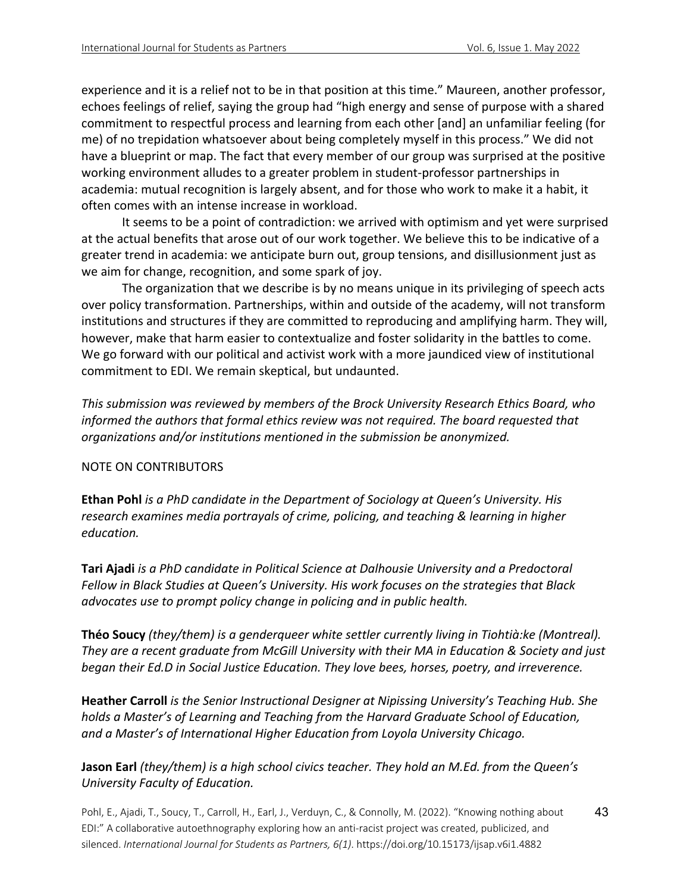experience and it is a relief not to be in that position at this time." Maureen, another professor, echoes feelings of relief, saying the group had "high energy and sense of purpose with a shared commitment to respectful process and learning from each other [and] an unfamiliar feeling (for me) of no trepidation whatsoever about being completely myself in this process." We did not have a blueprint or map. The fact that every member of our group was surprised at the positive working environment alludes to a greater problem in student-professor partnerships in academia: mutual recognition is largely absent, and for those who work to make it a habit, it often comes with an intense increase in workload.

It seems to be a point of contradiction: we arrived with optimism and yet were surprised at the actual benefits that arose out of our work together. We believe this to be indicative of a greater trend in academia: we anticipate burn out, group tensions, and disillusionment just as we aim for change, recognition, and some spark of joy.

The organization that we describe is by no means unique in its privileging of speech acts over policy transformation. Partnerships, within and outside of the academy, will not transform institutions and structures if they are committed to reproducing and amplifying harm. They will, however, make that harm easier to contextualize and foster solidarity in the battles to come. We go forward with our political and activist work with a more jaundiced view of institutional commitment to EDI. We remain skeptical, but undaunted.

*This submission was reviewed by members of the Brock University Research Ethics Board, who informed the authors that formal ethics review was not required. The board requested that organizations and/or institutions mentioned in the submission be anonymized.*

# NOTE ON CONTRIBUTORS

**Ethan Pohl** *is a PhD candidate in the Department of Sociology at Queen's University. His research examines media portrayals of crime, policing, and teaching & learning in higher education.*

**Tari Ajadi** *is a PhD candidate in Political Science at Dalhousie University and a Predoctoral Fellow in Black Studies at Queen's University. His work focuses on the strategies that Black advocates use to prompt policy change in policing and in public health.*

**Théo Soucy** *(they/them) is a genderqueer white settler currently living in Tiohtià:ke (Montreal). They are a recent graduate from McGill University with their MA in Education & Society and just began their Ed.D in Social Justice Education. They love bees, horses, poetry, and irreverence.*

**Heather Carroll** *is the Senior Instructional Designer at Nipissing University's Teaching Hub. She holds a Master's of Learning and Teaching from the Harvard Graduate School of Education, and a Master's of International Higher Education from Loyola University Chicago.*

# **Jason Earl** *(they/them) is a high school civics teacher. They hold an M.Ed. from the Queen's University Faculty of Education.*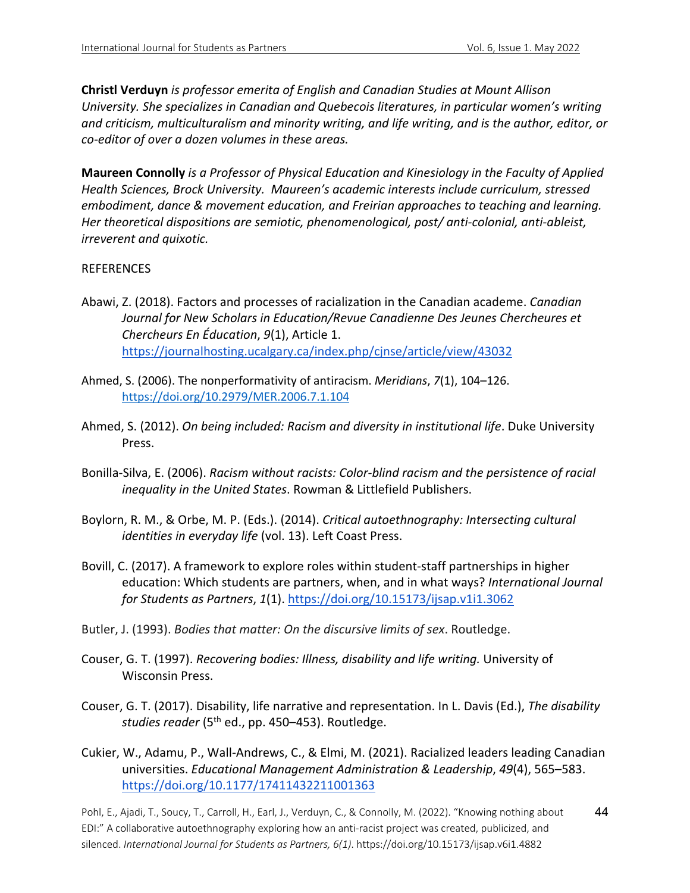**Christl Verduyn** *is professor emerita of English and Canadian Studies at Mount Allison University. She specializes in Canadian and Quebecois literatures, in particular women's writing and criticism, multiculturalism and minority writing, and life writing, and is the author, editor, or co-editor of over a dozen volumes in these areas.*

**Maureen Connolly** *is a Professor of Physical Education and Kinesiology in the Faculty of Applied Health Sciences, Brock University. Maureen's academic interests include curriculum, stressed embodiment, dance & movement education, and Freirian approaches to teaching and learning. Her theoretical dispositions are semiotic, phenomenological, post/ anti-colonial, anti-ableist, irreverent and quixotic.*

# REFERENCES

- Abawi, Z. (2018). Factors and processes of racialization in the Canadian academe. *Canadian Journal for New Scholars in Education/Revue Canadienne Des Jeunes Chercheures et Chercheurs En Éducation*, *9*(1), Article 1. https://journalhosting.ucalgary.ca/index.php/cjnse/article/view/43032
- Ahmed, S. (2006). The nonperformativity of antiracism. *Meridians*, *7*(1), 104–126. https://doi.org/10.2979/MER.2006.7.1.104
- Ahmed, S. (2012). *On being included: Racism and diversity in institutional life*. Duke University Press.
- Bonilla-Silva, E. (2006). *Racism without racists: Color-blind racism and the persistence of racial inequality in the United States*. Rowman & Littlefield Publishers.
- Boylorn, R. M., & Orbe, M. P. (Eds.). (2014). *Critical autoethnography: Intersecting cultural identities in everyday life* (vol. 13). Left Coast Press.
- Bovill, C. (2017). A framework to explore roles within student-staff partnerships in higher education: Which students are partners, when, and in what ways? *International Journal for Students as Partners*, *1*(1). https://doi.org/10.15173/ijsap.v1i1.3062
- Butler, J. (1993). *Bodies that matter: On the discursive limits of sex*. Routledge.
- Couser, G. T. (1997). *Recovering bodies: Illness, disability and life writing.* University of Wisconsin Press.
- Couser, G. T. (2017). Disability, life narrative and representation. In L. Davis (Ed.), *The disability studies reader* (5th ed., pp. 450–453). Routledge.
- Cukier, W., Adamu, P., Wall-Andrews, C., & Elmi, M. (2021). Racialized leaders leading Canadian universities. *Educational Management Administration & Leadership*, *49*(4), 565–583. https://doi.org/10.1177/17411432211001363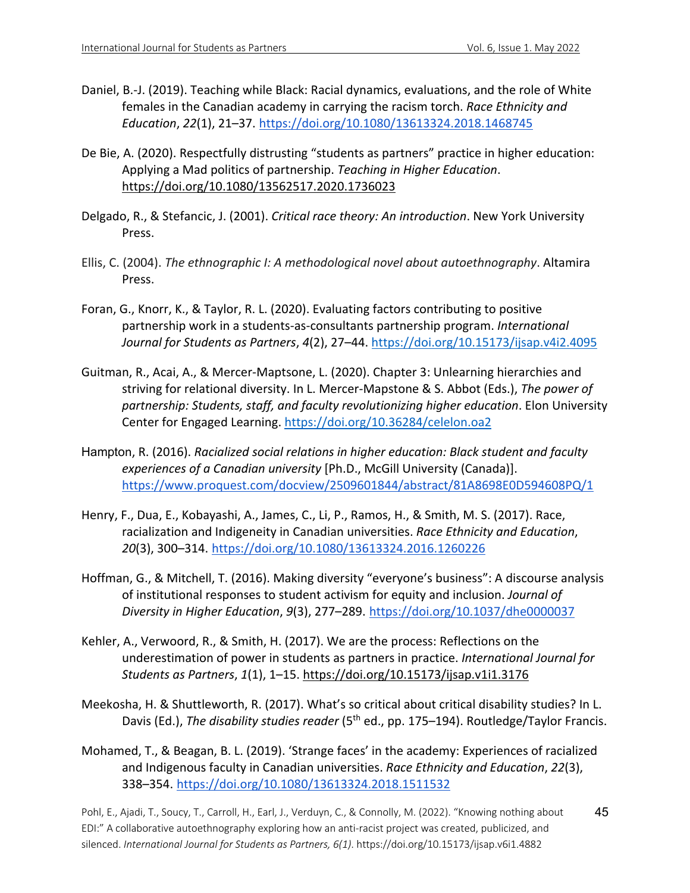- Daniel, B.-J. (2019). Teaching while Black: Racial dynamics, evaluations, and the role of White females in the Canadian academy in carrying the racism torch. *Race Ethnicity and Education*, *22*(1), 21–37. https://doi.org/10.1080/13613324.2018.1468745
- De Bie, A. (2020). Respectfully distrusting "students as partners" practice in higher education: Applying a Mad politics of partnership. *Teaching in Higher Education*. https://doi.org/10.1080/13562517.2020.1736023
- Delgado, R., & Stefancic, J. (2001). *Critical race theory: An introduction*. New York University Press.
- Ellis, C. (2004). *The ethnographic I: A methodological novel about autoethnography*. Altamira Press.
- Foran, G., Knorr, K., & Taylor, R. L. (2020). Evaluating factors contributing to positive partnership work in a students-as-consultants partnership program. *International Journal for Students as Partners*, *4*(2), 27–44. https://doi.org/10.15173/ijsap.v4i2.4095
- Guitman, R., Acai, A., & Mercer-Maptsone, L. (2020). Chapter 3: Unlearning hierarchies and striving for relational diversity. In L. Mercer-Mapstone & S. Abbot (Eds.), *The power of partnership: Students, staff, and faculty revolutionizing higher education*. Elon University Center for Engaged Learning. https://doi.org/10.36284/celelon.oa2
- Hampton, R. (2016). *Racialized social relations in higher education: Black student and faculty experiences of a Canadian university* [Ph.D., McGill University (Canada)]. https://www.proquest.com/docview/2509601844/abstract/81A8698E0D594608PQ/1
- Henry, F., Dua, E., Kobayashi, A., James, C., Li, P., Ramos, H., & Smith, M. S. (2017). Race, racialization and Indigeneity in Canadian universities. *Race Ethnicity and Education*, *20*(3), 300–314. https://doi.org/10.1080/13613324.2016.1260226
- Hoffman, G., & Mitchell, T. (2016). Making diversity "everyone's business": A discourse analysis of institutional responses to student activism for equity and inclusion. *Journal of Diversity in Higher Education*, *9*(3), 277–289. https://doi.org/10.1037/dhe0000037
- Kehler, A., Verwoord, R., & Smith, H. (2017). We are the process: Reflections on the underestimation of power in students as partners in practice. *International Journal for Students as Partners*, *1*(1), 1–15. https://doi.org/10.15173/ijsap.v1i1.3176
- Meekosha, H. & Shuttleworth, R. (2017). What's so critical about critical disability studies? In L. Davis (Ed.), *The disability studies reader* (5<sup>th</sup> ed., pp. 175–194). Routledge/Taylor Francis.
- Mohamed, T., & Beagan, B. L. (2019). 'Strange faces' in the academy: Experiences of racialized and Indigenous faculty in Canadian universities. *Race Ethnicity and Education*, *22*(3), 338–354. https://doi.org/10.1080/13613324.2018.1511532